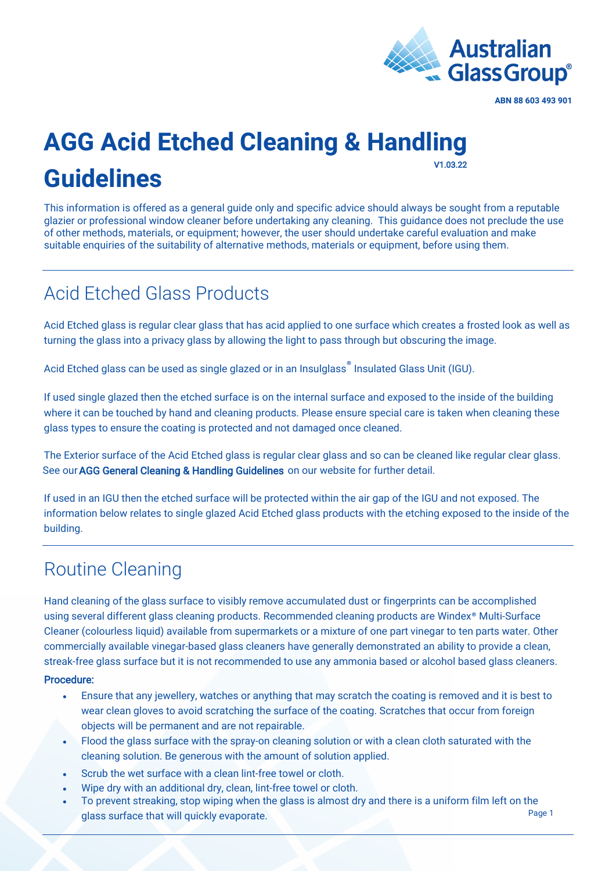

#### **AGG Acid Etched Cleaning & Handling Guidelines**  V1.03.22

This information is offered as a general guide only and specific advice should always be sought from a reputable glazier or professional window cleaner before undertaking any cleaning. This guidance does not preclude the use of other methods, materials, or equipment; however, the user should undertake careful evaluation and make suitable enquiries of the suitability of alternative methods, materials or equipment, before using them.

## Acid Etched Glass Products

Acid Etched glass is regular clear glass that has acid applied to one surface which creates a frosted look as well as turning the glass into a privacy glass by allowing the light to pass through but obscuring the image.

Acid Etched glass can be used as single glazed or in an [Insulglass](https://agg.com.au/products/insulglass/)<sup>®</sup> Insulated Glass Unit (IGU).

If used single glazed then the etched surface is on the internal surface and exposed to the inside of the building where it can be touched by hand and cleaning products. Please ensure special care is taken when cleaning these glass types to ensure the coating is protected and not damaged once cleaned.

The Exterior surface of the Acid Etched glass is regular clear glass and so can be cleaned like regular clear glass. See our [AGG General Cleaning & Handling Guidelines](https://agg.com.au/wp-content/uploads/2022/03/AGG-Guideline-General-Cleaning-Handling.pdf) on our website for further detail.

If used in an IGU then the etched surface will be protected within the air gap of the IGU and not exposed. The information below relates to single glazed Acid Etched glass products with the etching exposed to the inside of the building.

#### Routine Cleaning

Hand cleaning of the glass surface to visibly remove accumulated dust or fingerprints can be accomplished using several different glass cleaning products. Recommended cleaning products are Windex® Multi-Surface Cleaner (colourless liquid) available from supermarkets or a mixture of one part vinegar to ten parts water. Other commercially available vinegar-based glass cleaners have generally demonstrated an ability to provide a clean, streak-free glass surface but it is not recommended to use any ammonia based or alcohol based glass cleaners.

#### Procedure:

- Ensure that any jewellery, watches or anything that may scratch the coating is removed and it is best to wear clean gloves to avoid scratching the surface of the coating. Scratches that occur from foreign objects will be permanent and are not repairable.
- Flood the glass surface with the spray-on cleaning solution or with a clean cloth saturated with the cleaning solution. Be generous with the amount of solution applied.
- Scrub the wet surface with a clean lint-free towel or cloth.
- Wipe dry with an additional dry, clean, lint-free towel or cloth.
- Page 1 • To prevent streaking, stop wiping when the glass is almost dry and there is a uniform film left on the glass surface that will quickly evaporate.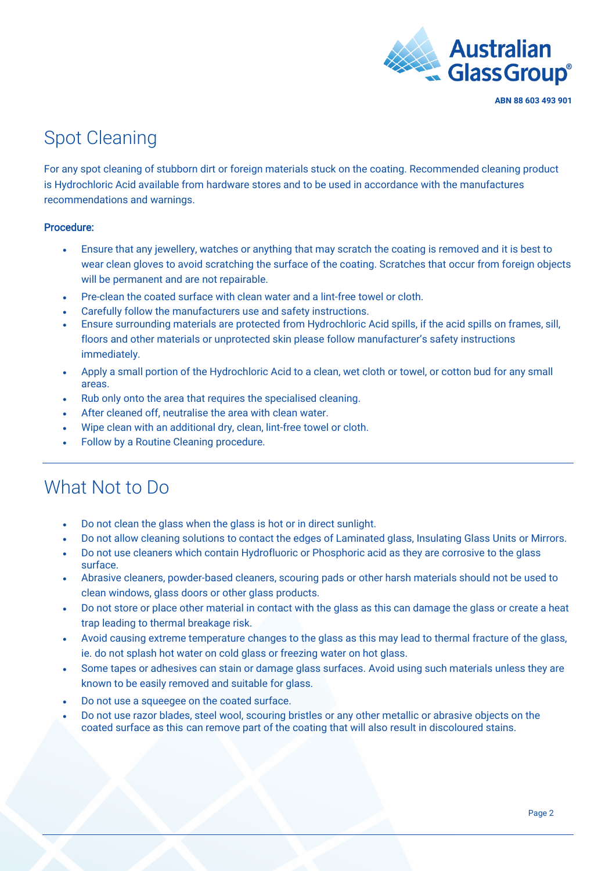

### Spot Cleaning

For any spot cleaning of stubborn dirt or foreign materials stuck on the coating. Recommended cleaning product is Hydrochloric Acid available from hardware stores and to be used in accordance with the manufactures recommendations and warnings.

#### Procedure:

- Ensure that any jewellery, watches or anything that may scratch the coating is removed and it is best to wear clean gloves to avoid scratching the surface of the coating. Scratches that occur from foreign objects will be permanent and are not repairable.
- Pre-clean the coated surface with clean water and a lint-free towel or cloth.
- Carefully follow the manufacturers use and safety instructions.
- Ensure surrounding materials are protected from Hydrochloric Acid spills, if the acid spills on frames, sill, floors and other materials or unprotected skin please follow manufacturer's safety instructions immediately.
- Apply a small portion of the Hydrochloric Acid to a clean, wet cloth or towel, or cotton bud for any small areas.
- Rub only onto the area that requires the specialised cleaning.
- After cleaned off, neutralise the area with clean water.
- Wipe clean with an additional dry, clean, lint-free towel or cloth.
- Follow by a Routine Cleaning procedure.

#### What Not to Do

- Do not clean the glass when the glass is hot or in direct sunlight.
- Do not allow cleaning solutions to contact the edges of Laminated glass, Insulating Glass Units or Mirrors.
- Do not use cleaners which contain Hydrofluoric or Phosphoric acid as they are corrosive to the glass surface.
- Abrasive cleaners, powder-based cleaners, scouring pads or other harsh materials should not be used to clean windows, glass doors or other glass products.
- Do not store or place other material in contact with the glass as this can damage the glass or create a heat trap leading to thermal breakage risk.
- Avoid causing extreme temperature changes to the glass as this may lead to thermal fracture of the glass, ie. do not splash hot water on cold glass or freezing water on hot glass.
- Some tapes or adhesives can stain or damage glass surfaces. Avoid using such materials unless they are known to be easily removed and suitable for glass.
- Do not use a squeegee on the coated surface.
- Do not use razor blades, steel wool, scouring bristles or any other metallic or abrasive objects on the coated surface as this can remove part of the coating that will also result in discoloured stains.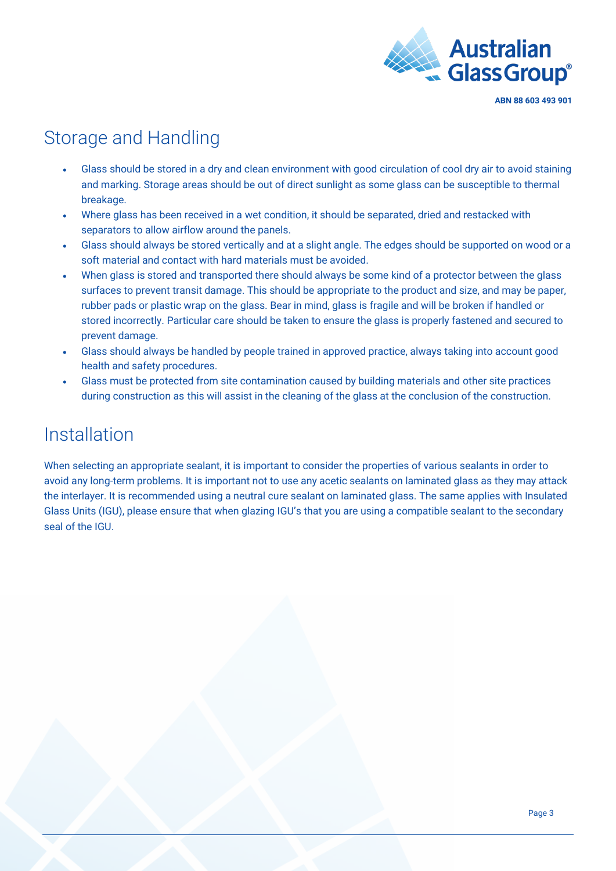

### Storage and Handling

- Glass should be stored in a dry and clean environment with good circulation of cool dry air to avoid staining and marking. Storage areas should be out of direct sunlight as some glass can be susceptible to thermal breakage.
- Where glass has been received in a wet condition, it should be separated, dried and restacked with separators to allow airflow around the panels.
- Glass should always be stored vertically and at a slight angle. The edges should be supported on wood or a soft material and contact with hard materials must be avoided.
- When glass is stored and transported there should always be some kind of a protector between the glass surfaces to prevent transit damage. This should be appropriate to the product and size, and may be paper, rubber pads or plastic wrap on the glass. Bear in mind, glass is fragile and will be broken if handled or stored incorrectly. Particular care should be taken to ensure the glass is properly fastened and secured to prevent damage.
- Glass should always be handled by people trained in approved practice, always taking into account good health and safety procedures.
- Glass must be protected from site contamination caused by building materials and other site practices during construction as this will assist in the cleaning of the glass at the conclusion of the construction.

### Installation

When selecting an appropriate sealant, it is important to consider the properties of various sealants in order to avoid any long-term problems. It is important not to use any acetic sealants on laminated glass as they may attack the interlayer. It is recommended using a neutral cure sealant on laminated glass. The same applies with Insulated Glass Units (IGU), please ensure that when glazing IGU's that you are using a compatible sealant to the secondary seal of the IGU.